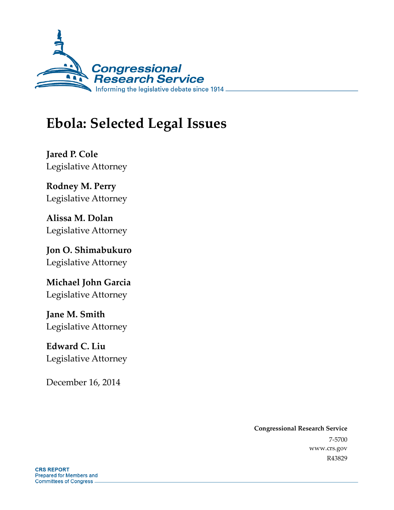

# **Ebola: Selected Legal Issues**

**Jared P. Cole**  Legislative Attorney

**Rodney M. Perry**  Legislative Attorney

**Alissa M. Dolan**  Legislative Attorney

**Jon O. Shimabukuro**  Legislative Attorney

**Michael John Garcia**  Legislative Attorney

**Jane M. Smith**  Legislative Attorney

**Edward C. Liu**  Legislative Attorney

December 16, 2014

**Congressional Research Service**  7-5700 www.crs.gov

R43829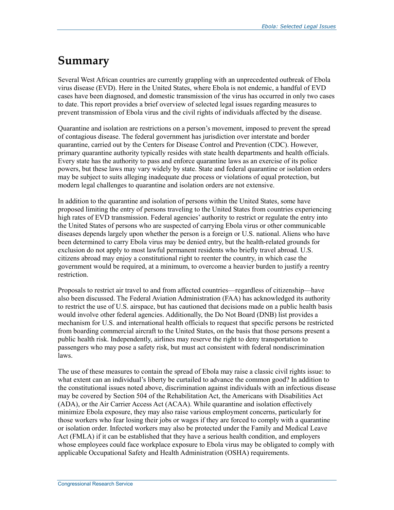## **Summary**

Several West African countries are currently grappling with an unprecedented outbreak of Ebola virus disease (EVD). Here in the United States, where Ebola is not endemic, a handful of EVD cases have been diagnosed, and domestic transmission of the virus has occurred in only two cases to date. This report provides a brief overview of selected legal issues regarding measures to prevent transmission of Ebola virus and the civil rights of individuals affected by the disease.

Quarantine and isolation are restrictions on a person's movement, imposed to prevent the spread of contagious disease. The federal government has jurisdiction over interstate and border quarantine, carried out by the Centers for Disease Control and Prevention (CDC). However, primary quarantine authority typically resides with state health departments and health officials. Every state has the authority to pass and enforce quarantine laws as an exercise of its police powers, but these laws may vary widely by state. State and federal quarantine or isolation orders may be subject to suits alleging inadequate due process or violations of equal protection, but modern legal challenges to quarantine and isolation orders are not extensive.

In addition to the quarantine and isolation of persons within the United States, some have proposed limiting the entry of persons traveling to the United States from countries experiencing high rates of EVD transmission. Federal agencies' authority to restrict or regulate the entry into the United States of persons who are suspected of carrying Ebola virus or other communicable diseases depends largely upon whether the person is a foreign or U.S. national. Aliens who have been determined to carry Ebola virus may be denied entry, but the health-related grounds for exclusion do not apply to most lawful permanent residents who briefly travel abroad. U.S. citizens abroad may enjoy a constitutional right to reenter the country, in which case the government would be required, at a minimum, to overcome a heavier burden to justify a reentry restriction.

Proposals to restrict air travel to and from affected countries—regardless of citizenship—have also been discussed. The Federal Aviation Administration (FAA) has acknowledged its authority to restrict the use of U.S. airspace, but has cautioned that decisions made on a public health basis would involve other federal agencies. Additionally, the Do Not Board (DNB) list provides a mechanism for U.S. and international health officials to request that specific persons be restricted from boarding commercial aircraft to the United States, on the basis that those persons present a public health risk. Independently, airlines may reserve the right to deny transportation to passengers who may pose a safety risk, but must act consistent with federal nondiscrimination laws.

The use of these measures to contain the spread of Ebola may raise a classic civil rights issue: to what extent can an individual's liberty be curtailed to advance the common good? In addition to the constitutional issues noted above, discrimination against individuals with an infectious disease may be covered by Section 504 of the Rehabilitation Act, the Americans with Disabilities Act (ADA), or the Air Carrier Access Act (ACAA). While quarantine and isolation effectively minimize Ebola exposure, they may also raise various employment concerns, particularly for those workers who fear losing their jobs or wages if they are forced to comply with a quarantine or isolation order. Infected workers may also be protected under the Family and Medical Leave Act (FMLA) if it can be established that they have a serious health condition, and employers whose employees could face workplace exposure to Ebola virus may be obligated to comply with applicable Occupational Safety and Health Administration (OSHA) requirements.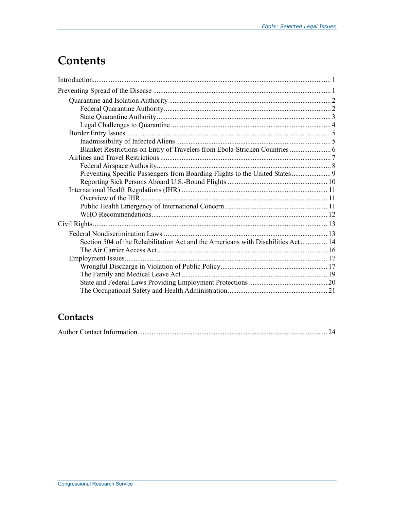## **Contents**

| Blanket Restrictions on Entry of Travelers from Ebola-Stricken Countries  6      |  |
|----------------------------------------------------------------------------------|--|
|                                                                                  |  |
|                                                                                  |  |
| Preventing Specific Passengers from Boarding Flights to the United States 9      |  |
|                                                                                  |  |
|                                                                                  |  |
|                                                                                  |  |
|                                                                                  |  |
|                                                                                  |  |
|                                                                                  |  |
|                                                                                  |  |
| Section 504 of the Rehabilitation Act and the Americans with Disabilities Act 14 |  |
|                                                                                  |  |
|                                                                                  |  |
|                                                                                  |  |
|                                                                                  |  |
|                                                                                  |  |
|                                                                                  |  |

## Contacts

|--|--|--|--|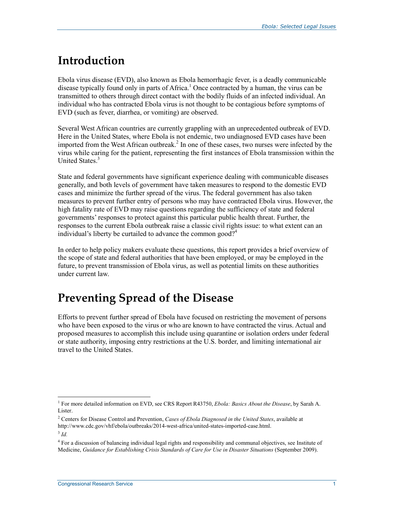## **Introduction**

Ebola virus disease (EVD), also known as Ebola hemorrhagic fever, is a deadly communicable disease typically found only in parts of Africa.<sup>1</sup> Once contracted by a human, the virus can be transmitted to others through direct contact with the bodily fluids of an infected individual. An individual who has contracted Ebola virus is not thought to be contagious before symptoms of EVD (such as fever, diarrhea, or vomiting) are observed.

Several West African countries are currently grappling with an unprecedented outbreak of EVD. Here in the United States, where Ebola is not endemic, two undiagnosed EVD cases have been imported from the West African outbreak.<sup>2</sup> In one of these cases, two nurses were infected by the virus while caring for the patient, representing the first instances of Ebola transmission within the United States.<sup>3</sup>

State and federal governments have significant experience dealing with communicable diseases generally, and both levels of government have taken measures to respond to the domestic EVD cases and minimize the further spread of the virus. The federal government has also taken measures to prevent further entry of persons who may have contracted Ebola virus. However, the high fatality rate of EVD may raise questions regarding the sufficiency of state and federal governments' responses to protect against this particular public health threat. Further, the responses to the current Ebola outbreak raise a classic civil rights issue: to what extent can an individual's liberty be curtailed to advance the common good?<sup>4</sup>

In order to help policy makers evaluate these questions, this report provides a brief overview of the scope of state and federal authorities that have been employed, or may be employed in the future, to prevent transmission of Ebola virus, as well as potential limits on these authorities under current law.

## **Preventing Spread of the Disease**

Efforts to prevent further spread of Ebola have focused on restricting the movement of persons who have been exposed to the virus or who are known to have contracted the virus. Actual and proposed measures to accomplish this include using quarantine or isolation orders under federal or state authority, imposing entry restrictions at the U.S. border, and limiting international air travel to the United States.

 1 For more detailed information on EVD, see CRS Report R43750, *Ebola: Basics About the Disease*, by Sarah A. Lister.

<sup>2</sup> Centers for Disease Control and Prevention, *Cases of Ebola Diagnosed in the United States*, available at

http://www.cdc.gov/vhf/ebola/outbreaks/2014-west-africa/united-states-imported-case.html.

<sup>3</sup> *Id.* 

<sup>&</sup>lt;sup>4</sup> For a discussion of balancing individual legal rights and responsibility and communal objectives, see Institute of Medicine, *Guidance for Establishing Crisis Standards of Care for Use in Disaster Situations* (September 2009).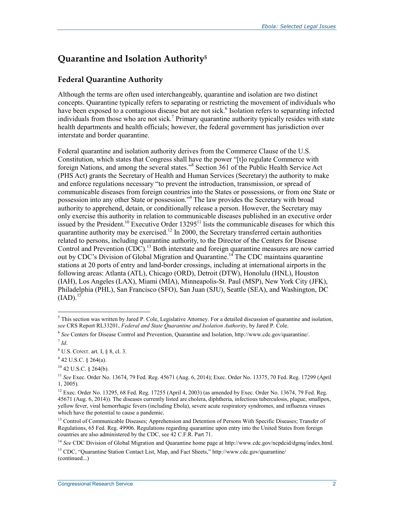## **Quarantine and Isolation Authority5**

#### **Federal Quarantine Authority**

Although the terms are often used interchangeably, quarantine and isolation are two distinct concepts. Quarantine typically refers to separating or restricting the movement of individuals who have been exposed to a contagious disease but are not sick.<sup>6</sup> Isolation refers to separating infected individuals from those who are not sick.<sup>7</sup> Primary quarantine authority typically resides with state health departments and health officials; however, the federal government has jurisdiction over interstate and border quarantine.

Federal quarantine and isolation authority derives from the Commerce Clause of the U.S. Constitution, which states that Congress shall have the power "[t]o regulate Commerce with foreign Nations, and among the several states."<sup>8</sup> Section 361 of the Public Health Service Act (PHS Act) grants the Secretary of Health and Human Services (Secretary) the authority to make and enforce regulations necessary "to prevent the introduction, transmission, or spread of communicable diseases from foreign countries into the States or possessions, or from one State or possession into any other State or possession."9 The law provides the Secretary with broad authority to apprehend, detain, or conditionally release a person. However, the Secretary may only exercise this authority in relation to communicable diseases published in an executive order issued by the President.<sup>10</sup> Executive Order 13295<sup>11</sup> lists the communicable diseases for which this quarantine authority may be exercised.<sup>12</sup> In 2000, the Secretary transferred certain authorities related to persons, including quarantine authority, to the Director of the Centers for Disease Control and Prevention (CDC).<sup>13</sup> Both interstate and foreign quarantine measures are now carried out by CDC's Division of Global Migration and Quarantine.<sup>14</sup> The CDC maintains quarantine stations at 20 ports of entry and land-border crossings, including at international airports in the following areas: Atlanta (ATL), Chicago (ORD), Detroit (DTW), Honolulu (HNL), Houston (IAH), Los Angeles (LAX), Miami (MIA), Minneapolis-St. Paul (MSP), New York City (JFK), Philadelphia (PHL), San Francisco (SFO), San Juan (SJU), Seattle (SEA), and Washington, DC  $(LAD).$ <sup>15</sup>

This section was written by Jared P. Cole, Legislative Attorney. For a detailed discussion of quarantine and isolation, *see* CRS Report RL33201, *Federal and State Quarantine and Isolation Authority*, by Jared P. Cole.

<sup>6</sup> *See* Centers for Disease Control and Prevention, Quarantine and Isolation, http://www.cdc.gov/quarantine/. <sup>7</sup> *Id*.

<sup>8</sup> U.S. CONST. art. I, § 8, cl. 3.

 $9^9$  42 U.S.C. § 264(a).

<sup>10 42</sup> U.S.C. § 264(b).

<sup>11</sup> *See* Exec. Order No. 13674, 79 Fed. Reg. 45671 (Aug. 6, 2014); Exec. Order No. 13375, 70 Fed. Reg. 17299 (April 1, 2005).

<sup>&</sup>lt;sup>12</sup> Exec. Order No. 13295, 68 Fed. Reg. 17255 (April 4, 2003) (as amended by Exec. Order No. 13674, 79 Fed. Reg. 45671 (Aug. 6, 2014)). The diseases currently listed are cholera, diphtheria, infectious tuberculosis, plague, smallpox, yellow fever, viral hemorrhagic fevers (including Ebola), severe acute respiratory syndromes, and influenza viruses which have the potential to cause a pandemic.

<sup>&</sup>lt;sup>13</sup> Control of Communicable Diseases; Apprehension and Detention of Persons With Specific Diseases; Transfer of Regulations, 65 Fed. Reg. 49906. Regulations regarding quarantine upon entry into the United States from foreign countries are also administered by the CDC, see 42 C.F.R. Part 71.

<sup>&</sup>lt;sup>14</sup> See CDC Division of Global Migration and Quarantine home page at http://www.cdc.gov/ncpdcid/dgmq/index.html.

<sup>&</sup>lt;sup>15</sup> CDC. "Quarantine Station Contact List, Map, and Fact Sheets," http://www.cdc.gov/quarantine/ (continued...)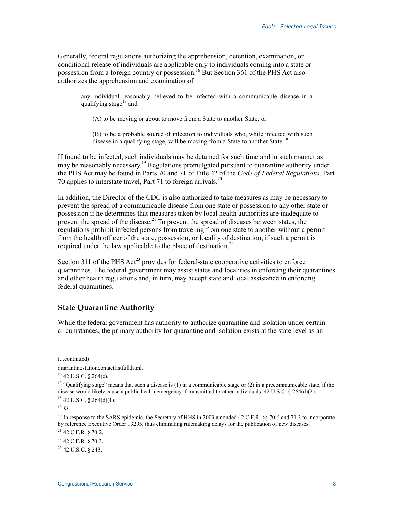Generally, federal regulations authorizing the apprehension, detention, examination, or conditional release of individuals are applicable only to individuals coming into a state or possession from a foreign country or possession.<sup>16</sup> But Section 361 of the PHS Act also authorizes the apprehension and examination of

any individual reasonably believed to be infected with a communicable disease in a qualifying stage $17$  and

(A) to be moving or about to move from a State to another State; or

(B) to be a probable source of infection to individuals who, while infected with such disease in a qualifying stage, will be moving from a State to another State.<sup>18</sup>

If found to be infected, such individuals may be detained for such time and in such manner as may be reasonably necessary.<sup>19</sup> Regulations promulgated pursuant to quarantine authority under the PHS Act may be found in Parts 70 and 71 of Title 42 of the *Code of Federal Regulations*. Part 70 applies to interstate travel, Part 71 to foreign arrivals.<sup>20</sup>

In addition, the Director of the CDC is also authorized to take measures as may be necessary to prevent the spread of a communicable disease from one state or possession to any other state or possession if he determines that measures taken by local health authorities are inadequate to prevent the spread of the disease.<sup>21</sup> To prevent the spread of diseases between states, the regulations prohibit infected persons from traveling from one state to another without a permit from the health officer of the state, possession, or locality of destination, if such a permit is required under the law applicable to the place of destination.<sup>22</sup>

Section 311 of the PHS  $Act^{23}$  provides for federal-state cooperative activities to enforce quarantines. The federal government may assist states and localities in enforcing their quarantines and other health regulations and, in turn, may accept state and local assistance in enforcing federal quarantines.

#### **State Quarantine Authority**

While the federal government has authority to authorize quarantine and isolation under certain circumstances, the primary authority for quarantine and isolation exists at the state level as an

<sup>(...</sup>continued)

quarantinestationcontactlistfull.html.

<sup>16 42</sup> U.S.C. § 264(c).

<sup>&</sup>lt;sup>17</sup> "Qualifying stage" means that such a disease is (1) in a communicable stage or (2) in a precommunicable state, if the disease would likely cause a public health emergency if transmitted to other individuals. 42 U.S.C. § 264(d)(2).  $18$  42 U.S.C. § 264(d)(1).

<sup>19</sup> *Id*.

<sup>&</sup>lt;sup>20</sup> In response to the SARS epidemic, the Secretary of HHS in 2003 amended 42 C.F.R. §§ 70.6 and 71.3 to incorporate by reference Executive Order 13295, thus eliminating rulemaking delays for the publication of new diseases.

<sup>21 42</sup> C.F.R. § 70.2.

<sup>22 42</sup> C.F.R. § 70.3.

 $^{23}$  42 U.S.C. 8 243.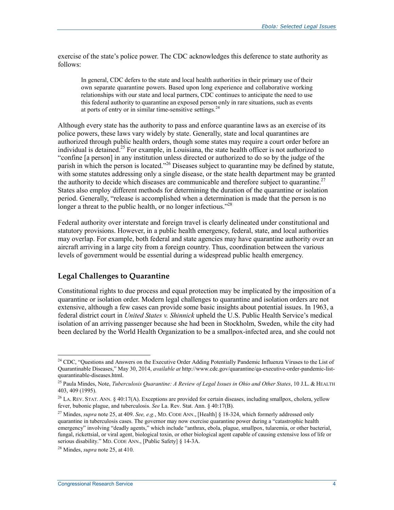exercise of the state's police power. The CDC acknowledges this deference to state authority as follows:

In general, CDC defers to the state and local health authorities in their primary use of their own separate quarantine powers. Based upon long experience and collaborative working relationships with our state and local partners, CDC continues to anticipate the need to use this federal authority to quarantine an exposed person only in rare situations, such as events at ports of entry or in similar time-sensitive settings. $24$ 

Although every state has the authority to pass and enforce quarantine laws as an exercise of its police powers, these laws vary widely by state. Generally, state and local quarantines are authorized through public health orders, though some states may require a court order before an individual is detained.<sup>25</sup> For example, in Louisiana, the state health officer is not authorized to "confine [a person] in any institution unless directed or authorized to do so by the judge of the parish in which the person is located."<sup>26</sup> Diseases subject to quarantine may be defined by statute, with some statutes addressing only a single disease, or the state health department may be granted the authority to decide which diseases are communicable and therefore subject to quarantine.<sup>27</sup> States also employ different methods for determining the duration of the quarantine or isolation period. Generally, "release is accomplished when a determination is made that the person is no longer a threat to the public health, or no longer infectious.<sup> $28$ </sup>

Federal authority over interstate and foreign travel is clearly delineated under constitutional and statutory provisions. However, in a public health emergency, federal, state, and local authorities may overlap. For example, both federal and state agencies may have quarantine authority over an aircraft arriving in a large city from a foreign country. Thus, coordination between the various levels of government would be essential during a widespread public health emergency.

#### **Legal Challenges to Quarantine**

Constitutional rights to due process and equal protection may be implicated by the imposition of a quarantine or isolation order. Modern legal challenges to quarantine and isolation orders are not extensive, although a few cases can provide some basic insights about potential issues. In 1963, a federal district court in *United States v. Shinnick* upheld the U.S. Public Health Service's medical isolation of an arriving passenger because she had been in Stockholm, Sweden, while the city had been declared by the World Health Organization to be a smallpox-infected area, and she could not

<u>.</u>

<sup>&</sup>lt;sup>24</sup> CDC, "Questions and Answers on the Executive Order Adding Potentially Pandemic Influenza Viruses to the List of Quarantinable Diseases," May 30, 2014, *available at* http://www.cdc.gov/quarantine/qa-executive-order-pandemic-listquarantinable-diseases.html.

<sup>25</sup> Paula Mindes, Note, *Tuberculosis Quarantine: A Review of Legal Issues in Ohio and Other States*, 10 J.L. & HEALTH 403, 409 (1995).

<sup>&</sup>lt;sup>26</sup> LA. REV. STAT. ANN. § 40:17(A). Exceptions are provided for certain diseases, including smallpox, cholera, yellow fever, bubonic plague, and tuberculosis. *See* La. Rev. Stat. Ann. § 40:17(B).

<sup>27</sup> Mindes, *supra* note 25, at 409. *See, e.g.*, MD. CODE ANN., [Health] § 18-324, which formerly addressed only quarantine in tuberculosis cases. The governor may now exercise quarantine power during a "catastrophic health emergency" involving "deadly agents," which include "anthrax, ebola, plague, smallpox, tularemia, or other bacterial, fungal, rickettsial, or viral agent, biological toxin, or other biological agent capable of causing extensive loss of life or serious disability." MD. CODE ANN., [Public Safety] § 14-3A.

<sup>28</sup> Mindes, *supra* note 25, at 410.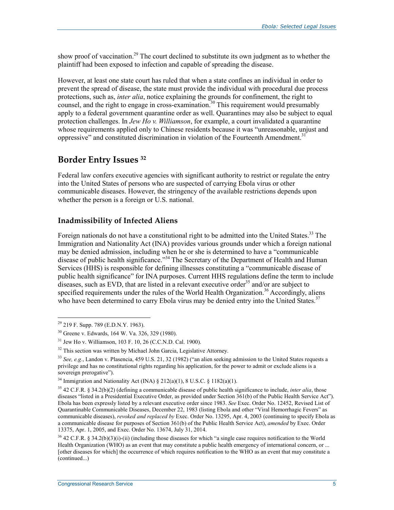show proof of vaccination.<sup>29</sup> The court declined to substitute its own judgment as to whether the plaintiff had been exposed to infection and capable of spreading the disease.

However, at least one state court has ruled that when a state confines an individual in order to prevent the spread of disease, the state must provide the individual with procedural due process protections, such as, *inter alia*, notice explaining the grounds for confinement, the right to counsel, and the right to engage in cross-examination.<sup>30</sup> This requirement would presumably apply to a federal government quarantine order as well. Quarantines may also be subject to equal protection challenges. In *Jew Ho v. Williamson*, for example, a court invalidated a quarantine whose requirements applied only to Chinese residents because it was "unreasonable, unjust and oppressive" and constituted discrimination in violation of the Fourteenth Amendment.<sup>31</sup>

### **Border Entry Issues 32**

Federal law confers executive agencies with significant authority to restrict or regulate the entry into the United States of persons who are suspected of carrying Ebola virus or other communicable diseases. However, the stringency of the available restrictions depends upon whether the person is a foreign or U.S. national.

#### **Inadmissibility of Infected Aliens**

Foreign nationals do not have a constitutional right to be admitted into the United States.<sup>33</sup> The Immigration and Nationality Act (INA) provides various grounds under which a foreign national may be denied admission, including when he or she is determined to have a "communicable disease of public health significance."<sup>34</sup> The Secretary of the Department of Health and Human Services (HHS) is responsible for defining illnesses constituting a "communicable disease of public health significance" for INA purposes. Current HHS regulations define the term to include diseases, such as EVD, that are listed in a relevant executive order<sup>35</sup> and/or are subject to specified requirements under the rules of the World Health Organization.<sup>36</sup> Accordingly, aliens who have been determined to carry Ebola virus may be denied entry into the United States.<sup>37</sup>

<sup>&</sup>lt;sup>29</sup> 219 F. Supp. 789 (E.D.N.Y. 1963).

<sup>30</sup> Greene v. Edwards, 164 W. Va. 326, 329 (1980).

<sup>31</sup> Jew Ho v. Williamson, 103 F. 10, 26 (C.C.N.D. Cal. 1900).

<sup>&</sup>lt;sup>32</sup> This section was written by Michael John Garcia, Legislative Attorney.

<sup>33</sup> *See, e.g.*, Landon v. Plasencia, 459 U.S. 21, 32 (1982) ("an alien seeking admission to the United States requests a privilege and has no constitutional rights regarding his application, for the power to admit or exclude aliens is a sovereign prerogative").

<sup>&</sup>lt;sup>34</sup> Immigration and Nationality Act (INA)  $\S 212(a)(1)$ , 8 U.S.C.  $\S 1182(a)(1)$ .

<sup>35 42</sup> C.F.R. § 34.2(b)(2) (defining a communicable disease of public health significance to include, *inter alia*, those diseases "listed in a Presidential Executive Order, as provided under Section 361(b) of the Public Health Service Act"). Ebola has been expressly listed by a relevant executive order since 1983. *See* Exec. Order No. 12452, Revised List of Quarantinable Communicable Diseases, December 22, 1983 (listing Ebola and other "Viral Hemorrhagic Fevers" as communicable diseases), *revoked and replaced by* Exec. Order No. 13295, Apr. 4, 2003 (continuing to specify Ebola as a communicable disease for purposes of Section 361(b) of the Public Health Service Act), *amended* by Exec. Order 13375, Apr. 1, 2005, and Exec. Order No. 13674, July 31, 2014.

<sup>36 42</sup> C.F.R. § 34.2(b)(3)(i)-(ii) (including those diseases for which "a single case requires notification to the World Health Organization (WHO) as an event that may constitute a public health emergency of international concern, or ... [other diseases for which] the occurrence of which requires notification to the WHO as an event that may constitute a (continued...)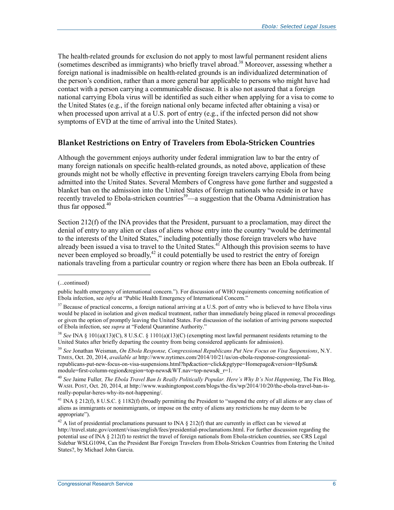The health-related grounds for exclusion do not apply to most lawful permanent resident aliens (sometimes described as immigrants) who briefly travel abroad.38 Moreover, assessing whether a foreign national is inadmissible on health-related grounds is an individualized determination of the person's condition, rather than a more general bar applicable to persons who might have had contact with a person carrying a communicable disease. It is also not assured that a foreign national carrying Ebola virus will be identified as such either when applying for a visa to come to the United States (e.g., if the foreign national only became infected after obtaining a visa) or when processed upon arrival at a U.S. port of entry (e.g., if the infected person did not show symptoms of EVD at the time of arrival into the United States).

#### **Blanket Restrictions on Entry of Travelers from Ebola-Stricken Countries**

Although the government enjoys authority under federal immigration law to bar the entry of many foreign nationals on specific health-related grounds, as noted above, application of these grounds might not be wholly effective in preventing foreign travelers carrying Ebola from being admitted into the United States. Several Members of Congress have gone further and suggested a blanket ban on the admission into the United States of foreign nationals who reside in or have recently traveled to Ebola-stricken countries<sup>39</sup>—a suggestion that the Obama Administration has thus far opposed. $40$ 

Section 212(f) of the INA provides that the President, pursuant to a proclamation, may direct the denial of entry to any alien or class of aliens whose entry into the country "would be detrimental to the interests of the United States," including potentially those foreign travelers who have already been issued a visa to travel to the United States.<sup>41</sup> Although this provision seems to have never been employed so broadly,<sup>42</sup> it could potentially be used to restrict the entry of foreign nationals traveling from a particular country or region where there has been an Ebola outbreak. If

<sup>(...</sup>continued)

public health emergency of international concern."). For discussion of WHO requirements concerning notification of Ebola infection, see *infra* at "Public Health Emergency of International Concern."

<sup>&</sup>lt;sup>37</sup> Because of practical concerns, a foreign national arriving at a U.S. port of entry who is believed to have Ebola virus would be placed in isolation and given medical treatment, rather than immediately being placed in removal proceedings or given the option of promptly leaving the United States. For discussion of the isolation of arriving persons suspected of Ebola infection, see *supra* at "Federal Quarantine Authority."

<sup>38</sup> *See* INA § 101(a)(13)(C), 8 U.S.C. § 1101(a)(13)(C) (exempting most lawful permanent residents returning to the United States after briefly departing the country from being considered applicants for admission).

<sup>39</sup> *See* Jonathan Weisman, *On Ebola Response, Congressional Republicans Put New Focus on Visa Suspensions*, N.Y. TIMES, Oct. 20, 2014, *available at* http://www.nytimes.com/2014/10/21/us/on-ebola-response-congressionalrepublicans-put-new-focus-on-visa-suspensions.html?hp&action=click&pgtype=Homepage&version=HpSum& module=first-column-region&region=top-news&WT.nav=top-news& r=1.

<sup>40</sup> *See* Jaime Fuller*, The Ebola Travel Ban Is Really Politically Popular. Here's Why It's Not Happening*, The Fix Blog, WASH. POST, Oct. 20, 2014, at http://www.washingtonpost.com/blogs/the-fix/wp/2014/10/20/the-ebola-travel-ban-isreally-popular-heres-why-its-not-happening/.

<sup>41</sup> INA § 212(f), 8 U.S.C. § 1182(f) (broadly permitting the President to "suspend the entry of all aliens or any class of aliens as immigrants or nonimmigrants, or impose on the entry of aliens any restrictions he may deem to be appropriate").

 $42$  A list of presidential proclamations pursuant to INA § 212(f) that are currently in effect can be viewed at http://travel.state.gov/content/visas/english/fees/presidential-proclamations.html. For further discussion regarding the potential use of INA § 212(f) to restrict the travel of foreign nationals from Ebola-stricken countries, see CRS Legal Sidebar WSLG1094, Can the President Bar Foreign Travelers from Ebola-Stricken Countries from Entering the United States?, by Michael John Garcia.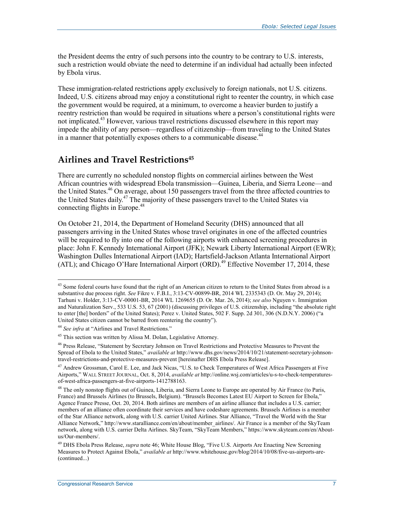the President deems the entry of such persons into the country to be contrary to U.S. interests, such a restriction would obviate the need to determine if an individual had actually been infected by Ebola virus.

These immigration-related restrictions apply exclusively to foreign nationals, not U.S. citizens. Indeed, U.S. citizens abroad may enjoy a constitutional right to reenter the country, in which case the government would be required, at a minimum, to overcome a heavier burden to justify a reentry restriction than would be required in situations where a person's constitutional rights were not implicated.43 However, various travel restrictions discussed elsewhere in this report may impede the ability of any person—regardless of citizenship—from traveling to the United States in a manner that potentially exposes others to a communicable disease.<sup>44</sup>

### **Airlines and Travel Restrictions45**

There are currently no scheduled nonstop flights on commercial airlines between the West African countries with widespread Ebola transmission—Guinea, Liberia, and Sierra Leone—and the United States.<sup>46</sup> On average, about 150 passengers travel from the three affected countries to the United States daily.47 The majority of these passengers travel to the United States via connecting flights in Europe.48

On October 21, 2014, the Department of Homeland Security (DHS) announced that all passengers arriving in the United States whose travel originates in one of the affected countries will be required to fly into one of the following airports with enhanced screening procedures in place: John F. Kennedy International Airport (JFK); Newark Liberty International Airport (EWR); Washington Dulles International Airport (IAD); Hartsfield-Jackson Atlanta International Airport (ATL); and Chicago O'Hare International Airport (ORD).<sup>49</sup> Effective November 17, 2014, these

<sup>&</sup>lt;sup>43</sup> Some federal courts have found that the right of an American citizen to return to the United States from abroad is a substantive due process right. *See* Fikre v. F.B.I., 3:13-CV-00899-BR, 2014 WL 2335343 (D. Or. May 29, 2014); Tarhuni v. Holder, 3:13-CV-00001-BR, 2014 WL 1269655 (D. Or. Mar. 26, 2014); *see also* Nguyen v. Immigration and Naturalization Serv., 533 U.S. 53, 67 (2001) (discussing privileges of U.S. citizenship, including "the absolute right to enter [the] borders" of the United States); Perez v. United States, 502 F. Supp. 2d 301, 306 (N.D.N.Y. 2006) ("a United States citizen cannot be barred from reentering the country").

<sup>&</sup>lt;sup>44</sup> See infra at "Airlines and Travel Restrictions."

<sup>45</sup> This section was written by Alissa M. Dolan, Legislative Attorney.

<sup>46</sup> Press Release, "Statement by Secretary Johnson on Travel Restrictions and Protective Measures to Prevent the Spread of Ebola to the United States," *available at* http://www.dhs.gov/news/2014/10/21/statement-secretary-johnsontravel-restrictions-and-protective-measures-prevent [hereinafter DHS Ebola Press Release].

<sup>&</sup>lt;sup>47</sup> Andrew Grossman, Carol E. Lee, and Jack Nicas, "U.S. to Check Temperatures of West Africa Passengers at Five Airports," WALL STREET JOURNAL, Oct. 8, 2014, *available at* http://online.wsj.com/articles/u-s-to-check-temperaturesof-west-africa-passengers-at-five-airports-1412788163.

<sup>&</sup>lt;sup>48</sup> The only nonstop flights out of Guinea, Liberia, and Sierra Leone to Europe are operated by Air France (to Paris, France) and Brussels Airlines (to Brussels, Belgium). "Brussels Becomes Latest EU Airport to Screen for Ebola," Agence France Presse, Oct. 20, 2014. Both airlines are members of an airline alliance that includes a U.S. carrier; members of an alliance often coordinate their services and have codeshare agreements. Brussels Airlines is a member of the Star Alliance network, along with U.S. carrier United Airlines. Star Alliance, "Travel the World with the Star Alliance Network," http://www.staralliance.com/en/about/member\_airlines/. Air France is a member of the SkyTeam network, along with U.S. carrier Delta Airlines. SkyTeam, "SkyTeam Members," https://www.skyteam.com/en/Aboutus/Our-members/.

<sup>49</sup> DHS Ebola Press Release, *supra* note 46; White House Blog, "Five U.S. Airports Are Enacting New Screening Measures to Protect Against Ebola," *available at* http://www.whitehouse.gov/blog/2014/10/08/five-us-airports-are- (continued...)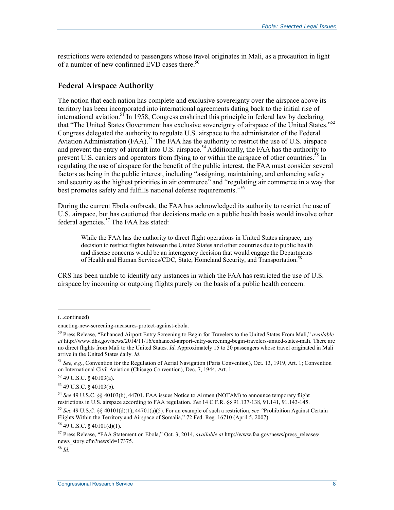restrictions were extended to passengers whose travel originates in Mali, as a precaution in light of a number of new confirmed EVD cases there.<sup>50</sup>

#### **Federal Airspace Authority**

The notion that each nation has complete and exclusive sovereignty over the airspace above its territory has been incorporated into international agreements dating back to the initial rise of international aviation.<sup>51</sup> In 1958, Congress enshrined this principle in federal law by declaring that "The United States Government has exclusive sovereignty of airspace of the United States."52 Congress delegated the authority to regulate U.S. airspace to the administrator of the Federal Aviation Administration  $(FAA)$ .<sup>53</sup> The FAA has the authority to restrict the use of U.S. airspace and prevent the entry of aircraft into U.S. airspace.<sup>54</sup> Additionally, the FAA has the authority to prevent U.S. carriers and operators from flying to or within the airspace of other countries.<sup>55</sup> In regulating the use of airspace for the benefit of the public interest, the FAA must consider several factors as being in the public interest, including "assigning, maintaining, and enhancing safety and security as the highest priorities in air commerce" and "regulating air commerce in a way that best promotes safety and fulfills national defense requirements."56

During the current Ebola outbreak, the FAA has acknowledged its authority to restrict the use of U.S. airspace, but has cautioned that decisions made on a public health basis would involve other federal agencies.<sup>57</sup> The FAA has stated:

While the FAA has the authority to direct flight operations in United States airspace, any decision to restrict flights between the United States and other countries due to public health and disease concerns would be an interagency decision that would engage the Departments of Health and Human Services/CDC, State, Homeland Security, and Transportation.<sup>58</sup>

CRS has been unable to identify any instances in which the FAA has restricted the use of U.S. airspace by incoming or outgoing flights purely on the basis of a public health concern.

1

<sup>55</sup> *See* 49 U.S.C. §§ 40101(d)(1), 44701(a)(5). For an example of such a restriction, *see "*Prohibition Against Certain Flights Within the Territory and Airspace of Somalia," 72 Fed. Reg. 16710 (April 5, 2007).

<sup>(...</sup>continued)

enacting-new-screening-measures-protect-against-ebola.

<sup>50</sup> Press Release, "Enhanced Airport Entry Screening to Begin for Travelers to the United States From Mali," *available at* http://www.dhs.gov/news/2014/11/16/enhanced-airport-entry-screening-begin-travelers-united-states-mali. There are no direct flights from Mali to the United States. *Id*. Approximately 15 to 20 passengers whose travel originated in Mali arrive in the United States daily. *Id*.

<sup>51</sup> *See, e.g.*, Convention for the Regulation of Aerial Navigation (Paris Convention), Oct. 13, 1919, Art. 1; Convention on International Civil Aviation (Chicago Convention), Dec. 7, 1944, Art. 1.

 $52$  49 U.S.C. § 40103(a).

<sup>53 49</sup> U.S.C. § 40103(b).

<sup>54</sup> *See* 49 U.S.C. §§ 40103(b), 44701. FAA issues Notice to Airmen (NOTAM) to announce temporary flight restrictions in U.S. airspace according to FAA regulation. *See* 14 C.F.R. §§ 91.137-138, 91.141, 91.143-145.

 $56$  49 U.S.C. § 40101(d)(1).

<sup>57</sup> Press Release, "FAA Statement on Ebola," Oct. 3, 2014, *available at* http://www.faa.gov/news/press\_releases/ news story.cfm?newsId=17375.

<sup>58</sup> *Id*.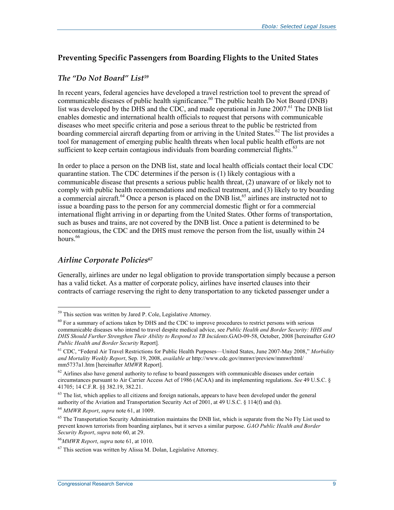#### **Preventing Specific Passengers from Boarding Flights to the United States**

#### *The "Do Not Board" List59*

In recent years, federal agencies have developed a travel restriction tool to prevent the spread of communicable diseases of public health significance.<sup>60</sup> The public health Do Not Board (DNB) list was developed by the DHS and the CDC, and made operational in June  $2007<sup>61</sup>$  The DNB list enables domestic and international health officials to request that persons with communicable diseases who meet specific criteria and pose a serious threat to the public be restricted from boarding commercial aircraft departing from or arriving in the United States.<sup>62</sup> The list provides a tool for management of emerging public health threats when local public health efforts are not sufficient to keep certain contagious individuals from boarding commercial flights. $63$ 

In order to place a person on the DNB list, state and local health officials contact their local CDC quarantine station. The CDC determines if the person is (1) likely contagious with a communicable disease that presents a serious public health threat, (2) unaware of or likely not to comply with public health recommendations and medical treatment, and (3) likely to try boarding a commercial aircraft.<sup>64</sup> Once a person is placed on the DNB list,<sup>65</sup> airlines are instructed not to issue a boarding pass to the person for any commercial domestic flight or for a commercial international flight arriving in or departing from the United States. Other forms of transportation, such as buses and trains, are not covered by the DNB list. Once a patient is determined to be noncontagious, the CDC and the DHS must remove the person from the list, usually within 24 hours. $66$ 

#### *Airline Corporate Policies67*

<u>.</u>

Generally, airlines are under no legal obligation to provide transportation simply because a person has a valid ticket. As a matter of corporate policy, airlines have inserted clauses into their contracts of carriage reserving the right to deny transportation to any ticketed passenger under a

<sup>&</sup>lt;sup>59</sup> This section was written by Jared P. Cole, Legislative Attorney.

<sup>&</sup>lt;sup>60</sup> For a summary of actions taken by DHS and the CDC to improve procedures to restrict persons with serious communicable diseases who intend to travel despite medical advice, see *Public Health and Border Security: HHS and DHS Should Further Strengthen Their Ability to Respond to TB Incidents*.GAO-09-58, October, 2008 [hereinafter *GAO Public Health and Border Security* Report]*.*

<sup>61</sup> CDC, "Federal Air Travel Restrictions for Public Health Purposes—United States, June 2007-May 2008," *Morbidity and Mortality Weekly Report*, Sep. 19, 2008, *available at* http://www.cdc.gov/mmwr/preview/mmwrhtml/ mm5737a1.htm [hereinafter *MMWR* Report].

 $62$  Airlines also have general authority to refuse to board passengers with communicable diseases under certain circumstances pursuant to Air Carrier Access Act of 1986 (ACAA) and its implementing regulations. *See* 49 U.S.C. § 41705; 14 C.F.R. §§ 382.19, 382.21.

 $63$  The list, which applies to all citizens and foreign nationals, appears to have been developed under the general authority of the Aviation and Transportation Security Act of 2001, at 49 U.S.C. § 114(f) and (h).

<sup>64</sup> *MMWR Report*, *supra* note 61, at 1009.

 $65$  The Transportation Security Administration maintains the DNB list, which is separate from the No Fly List used to prevent known terrorists from boarding airplanes, but it serves a similar purpose. *GAO Public Health and Border Security Report*, *supra* note 60, at 29.

<sup>66</sup>*MMWR Report*, *supra* note 61, at 1010.

 $67$  This section was written by Alissa M. Dolan, Legislative Attorney.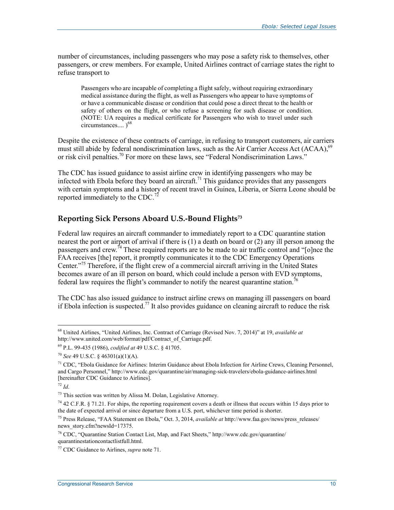number of circumstances, including passengers who may pose a safety risk to themselves, other passengers, or crew members. For example, United Airlines contract of carriage states the right to refuse transport to

Passengers who are incapable of completing a flight safely, without requiring extraordinary medical assistance during the flight, as well as Passengers who appear to have symptoms of or have a communicable disease or condition that could pose a direct threat to the health or safety of others on the flight, or who refuse a screening for such disease or condition. (NOTE: UA requires a medical certificate for Passengers who wish to travel under such circumstances....  $)^{68}$ 

Despite the existence of these contracts of carriage, in refusing to transport customers, air carriers must still abide by federal nondiscrimination laws, such as the Air Carrier Access Act (ACAA),<sup>69</sup> or risk civil penalties.<sup>70</sup> For more on these laws, see "Federal Nondiscrimination Laws."

The CDC has issued guidance to assist airline crew in identifying passengers who may be infected with Ebola before they board an aircraft.<sup>71</sup> This guidance provides that any passengers with certain symptoms and a history of recent travel in Guinea, Liberia, or Sierra Leone should be reported immediately to the CDC.<sup>7</sup>

#### **Reporting Sick Persons Aboard U.S.-Bound Flights73**

Federal law requires an aircraft commander to immediately report to a CDC quarantine station nearest the port or airport of arrival if there is (1) a death on board or (2) any ill person among the passengers and crew.<sup>74</sup> These required reports are to be made to air traffic control and "[o]nce the FAA receives [the] report, it promptly communicates it to the CDC Emergency Operations Center."<sup>75</sup> Therefore, if the flight crew of a commercial aircraft arriving in the United States becomes aware of an ill person on board, which could include a person with EVD symptoms, federal law requires the flight's commander to notify the nearest quarantine station.<sup>76</sup>

The CDC has also issued guidance to instruct airline crews on managing ill passengers on board if Ebola infection is suspected.<sup>77</sup> It also provides guidance on cleaning aircraft to reduce the risk

<u>.</u>

<sup>68</sup> United Airlines, "United Airlines, Inc. Contract of Carriage (Revised Nov. 7, 2014)" at 19, *available at* http://www.united.com/web/format/pdf/Contract\_of\_Carriage.pdf.

<sup>69</sup> P.L. 99-435 (1986), *codified at* 49 U.S.C. § 41705.

<sup>70</sup> *See* 49 U.S.C. § 46301(a)(1)(A).

<sup>&</sup>lt;sup>71</sup> CDC, "Ebola Guidance for Airlines: Interim Guidance about Ebola Infection for Airline Crews, Cleaning Personnel, and Cargo Personnel," http://www.cdc.gov/quarantine/air/managing-sick-travelers/ebola-guidance-airlines.html [hereinafter CDC Guidance to Airlines].

<sup>72</sup> *Id*.

<sup>73</sup> This section was written by Alissa M. Dolan, Legislative Attorney.

<sup>&</sup>lt;sup>74</sup> 42 C.F.R. § 71.21. For ships, the reporting requirement covers a death or illness that occurs within 15 days prior to the date of expected arrival or since departure from a U.S. port, whichever time period is shorter.

<sup>75</sup> Press Release, "FAA Statement on Ebola," Oct. 3, 2014, *available at* http://www.faa.gov/news/press\_releases/ news story.cfm?newsId=17375.

<sup>76</sup> CDC, "Quarantine Station Contact List, Map, and Fact Sheets," http://www.cdc.gov/quarantine/ quarantinestationcontactlistfull.html.

<sup>77</sup> CDC Guidance to Airlines, *supra* note 71.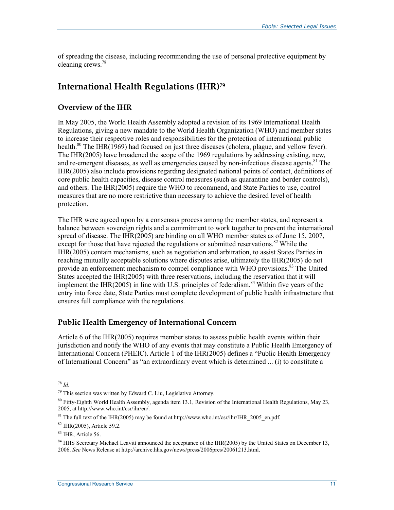of spreading the disease, including recommending the use of personal protective equipment by cleaning crews.78

### **International Health Regulations (IHR)79**

#### **Overview of the IHR**

In May 2005, the World Health Assembly adopted a revision of its 1969 International Health Regulations, giving a new mandate to the World Health Organization (WHO) and member states to increase their respective roles and responsibilities for the protection of international public health.<sup>80</sup> The IHR(1969) had focused on just three diseases (cholera, plague, and yellow fever). The IHR(2005) have broadened the scope of the 1969 regulations by addressing existing, new, and re-emergent diseases, as well as emergencies caused by non-infectious disease agents.<sup>81</sup> The IHR(2005) also include provisions regarding designated national points of contact, definitions of core public health capacities, disease control measures (such as quarantine and border controls), and others. The IHR(2005) require the WHO to recommend, and State Parties to use, control measures that are no more restrictive than necessary to achieve the desired level of health protection.

The IHR were agreed upon by a consensus process among the member states, and represent a balance between sovereign rights and a commitment to work together to prevent the international spread of disease. The IHR(2005) are binding on all WHO member states as of June 15, 2007, except for those that have rejected the regulations or submitted reservations.<sup>82</sup> While the IHR(2005) contain mechanisms, such as negotiation and arbitration, to assist States Parties in reaching mutually acceptable solutions where disputes arise, ultimately the IHR(2005) do not provide an enforcement mechanism to compel compliance with WHO provisions.<sup>83</sup> The United States accepted the IHR(2005) with three reservations, including the reservation that it will implement the IHR(2005) in line with U.S. principles of federalism.<sup>84</sup> Within five years of the entry into force date, State Parties must complete development of public health infrastructure that ensures full compliance with the regulations.

#### **Public Health Emergency of International Concern**

Article 6 of the IHR(2005) requires member states to assess public health events within their jurisdiction and notify the WHO of any events that may constitute a Public Health Emergency of International Concern (PHEIC). Article 1 of the IHR(2005) defines a "Public Health Emergency of International Concern" as "an extraordinary event which is determined ... (i) to constitute a

<sup>78</sup> *Id*.

<sup>79</sup> This section was written by Edward C. Liu, Legislative Attorney.

 $80$  Fifty-Eighth World Health Assembly, agenda item 13.1. Revision of the International Health Regulations, May 23, 2005, at http://www.who.int/csr/ihr/en/.

<sup>&</sup>lt;sup>81</sup> The full text of the IHR(2005) may be found at http://www.who.int/csr/ihr/IHR\_2005\_en.pdf.

<sup>82</sup> IHR(2005), Article 59.2.

<sup>83</sup> IHR, Article 56.

<sup>&</sup>lt;sup>84</sup> HHS Secretary Michael Leavitt announced the acceptance of the IHR(2005) by the United States on December 13, 2006. *See* News Release at http://archive.hhs.gov/news/press/2006pres/20061213.html.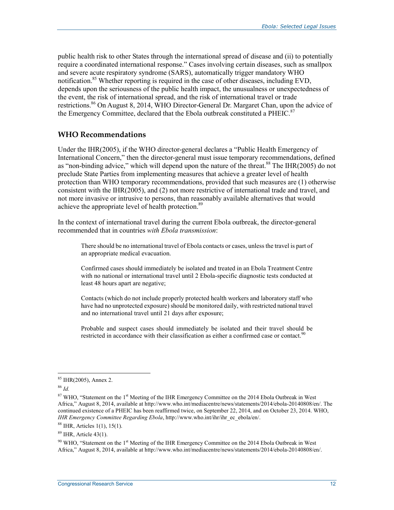public health risk to other States through the international spread of disease and (ii) to potentially require a coordinated international response." Cases involving certain diseases, such as smallpox and severe acute respiratory syndrome (SARS), automatically trigger mandatory WHO notification.<sup>85</sup> Whether reporting is required in the case of other diseases, including EVD, depends upon the seriousness of the public health impact, the unusualness or unexpectedness of the event, the risk of international spread, and the risk of international travel or trade restrictions.<sup>86</sup> On August 8, 2014, WHO Director-General Dr. Margaret Chan, upon the advice of the Emergency Committee, declared that the Ebola outbreak constituted a PHEIC. $87$ 

#### **WHO Recommendations**

Under the IHR(2005), if the WHO director-general declares a "Public Health Emergency of International Concern," then the director-general must issue temporary recommendations, defined as "non-binding advice," which will depend upon the nature of the threat.<sup>88</sup> The IHR(2005) do not preclude State Parties from implementing measures that achieve a greater level of health protection than WHO temporary recommendations, provided that such measures are (1) otherwise consistent with the IHR(2005), and (2) not more restrictive of international trade and travel, and not more invasive or intrusive to persons, than reasonably available alternatives that would achieve the appropriate level of health protection.<sup>89</sup>

In the context of international travel during the current Ebola outbreak, the director-general recommended that in countries *with Ebola transmission*:

There should be no international travel of Ebola contacts or cases, unless the travel is part of an appropriate medical evacuation.

Confirmed cases should immediately be isolated and treated in an Ebola Treatment Centre with no national or international travel until 2 Ebola-specific diagnostic tests conducted at least 48 hours apart are negative;

Contacts (which do not include properly protected health workers and laboratory staff who have had no unprotected exposure) should be monitored daily, with restricted national travel and no international travel until 21 days after exposure;

Probable and suspect cases should immediately be isolated and their travel should be restricted in accordance with their classification as either a confirmed case or contact.<sup>90</sup>

<sup>1</sup> 85 IHR(2005), Annex 2.

<sup>86</sup> *Id.* 

<sup>&</sup>lt;sup>87</sup> WHO, "Statement on the 1<sup>st</sup> Meeting of the IHR Emergency Committee on the 2014 Ebola Outbreak in West Africa," August 8, 2014, available at http://www.who.int/mediacentre/news/statements/2014/ebola-20140808/en/. The continued existence of a PHEIC has been reaffirmed twice, on September 22, 2014, and on October 23, 2014. WHO, *IHR Emergency Committee Regarding Ebola*, http://www.who.int/ihr/ihr\_ec\_ebola/en/.

 $88$  IHR, Articles 1(1), 15(1).

<sup>89</sup> IHR, Article 43(1).

 $90$  WHO, "Statement on the 1<sup>st</sup> Meeting of the IHR Emergency Committee on the 2014 Ebola Outbreak in West Africa," August 8, 2014, available at http://www.who.int/mediacentre/news/statements/2014/ebola-20140808/en/.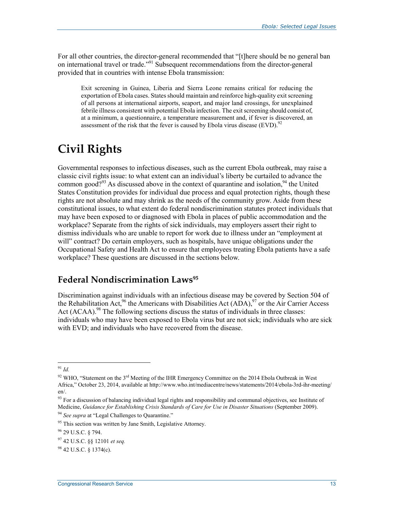For all other countries, the director-general recommended that "[t]here should be no general ban on international travel or trade."91 Subsequent recommendations from the director-general provided that in countries with intense Ebola transmission:

Exit screening in Guinea, Liberia and Sierra Leone remains critical for reducing the exportation of Ebola cases. States should maintain and reinforce high-quality exit screening of all persons at international airports, seaport, and major land crossings, for unexplained febrile illness consistent with potential Ebola infection. The exit screening should consist of, at a minimum, a questionnaire, a temperature measurement and, if fever is discovered, an assessment of the risk that the fever is caused by Ebola virus disease  $(EVD)$ .<sup>92</sup>

## **Civil Rights**

Governmental responses to infectious diseases, such as the current Ebola outbreak, may raise a classic civil rights issue: to what extent can an individual's liberty be curtailed to advance the common good?<sup>93</sup> As discussed above in the context of quarantine and isolation,<sup>94</sup> the United States Constitution provides for individual due process and equal protection rights, though these rights are not absolute and may shrink as the needs of the community grow. Aside from these constitutional issues, to what extent do federal nondiscrimination statutes protect individuals that may have been exposed to or diagnosed with Ebola in places of public accommodation and the workplace? Separate from the rights of sick individuals, may employers assert their right to dismiss individuals who are unable to report for work due to illness under an "employment at will" contract? Do certain employers, such as hospitals, have unique obligations under the Occupational Safety and Health Act to ensure that employees treating Ebola patients have a safe workplace? These questions are discussed in the sections below.

## **Federal Nondiscrimination Laws95**

Discrimination against individuals with an infectious disease may be covered by Section 504 of the Rehabilitation Act,  $^{96}$  the Americans with Disabilities Act (ADA), $^{97}$  or the Air Carrier Access Act (ACAA).<sup>98</sup> The following sections discuss the status of individuals in three classes: individuals who may have been exposed to Ebola virus but are not sick; individuals who are sick with EVD; and individuals who have recovered from the disease.

<sup>&</sup>lt;u>.</u> <sup>91</sup> *Id.* 

 $92$  WHO, "Statement on the 3<sup>rd</sup> Meeting of the IHR Emergency Committee on the 2014 Ebola Outbreak in West Africa," October 23, 2014, available at http://www.who.int/mediacentre/news/statements/2014/ebola-3rd-ihr-meeting/ en/.

 $93$  For a discussion of balancing individual legal rights and responsibility and communal objectives, see Institute of Medicine, *Guidance for Establishing Crisis Standards of Care for Use in Disaster Situations* (September 2009).

<sup>94</sup> *See supra* at "Legal Challenges to Quarantine."

 $95$  This section was written by Jane Smith, Legislative Attorney.

<sup>96 29</sup> U.S.C. § 794.

<sup>97 42</sup> U.S.C. §§ 12101 *et seq.*

 $98$  42 U.S.C. § 1374(c).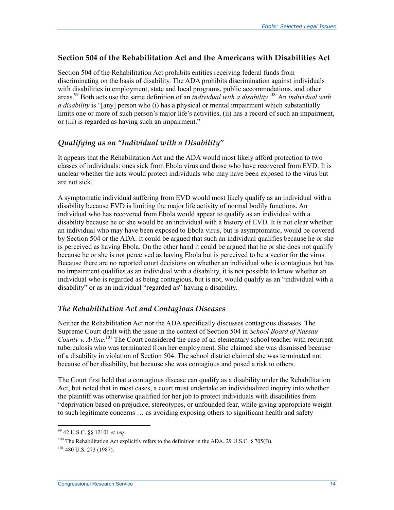#### **Section 504 of the Rehabilitation Act and the Americans with Disabilities Act**

Section 504 of the Rehabilitation Act prohibits entities receiving federal funds from discriminating on the basis of disability. The ADA prohibits discrimination against individuals with disabilities in employment, state and local programs, public accommodations, and other areas.99 Both acts use the same definition of an *individual with a disability*. 100 An *individual with a disability* is "[any] person who (i) has a physical or mental impairment which substantially limits one or more of such person's major life's activities, (ii) has a record of such an impairment, or (iii) is regarded as having such an impairment."

#### *Qualifying as an "Individual with a Disability"*

It appears that the Rehabilitation Act and the ADA would most likely afford protection to two classes of individuals: ones sick from Ebola virus and those who have recovered from EVD. It is unclear whether the acts would protect individuals who may have been exposed to the virus but are not sick.

A symptomatic individual suffering from EVD would most likely qualify as an individual with a disability because EVD is limiting the major life activity of normal bodily functions. An individual who has recovered from Ebola would appear to qualify as an individual with a disability because he or she would be an individual with a history of EVD. It is not clear whether an individual who may have been exposed to Ebola virus, but is asymptomatic, would be covered by Section 504 or the ADA. It could be argued that such an individual qualifies because he or she is perceived as having Ebola. On the other hand it could be argued that he or she does not qualify because he or she is not perceived as having Ebola but is perceived to be a vector for the virus. Because there are no reported court decisions on whether an individual who is contagious but has no impairment qualifies as an individual with a disability, it is not possible to know whether an individual who is regarded as being contagious, but is not, would qualify as an "individual with a disability" or as an individual "regarded as" having a disability.

#### *The Rehabilitation Act and Contagious Diseases*

Neither the Rehabilitation Act nor the ADA specifically discusses contagious diseases. The Supreme Court dealt with the issue in the context of Section 504 in *School Board of Nassau County v. Arline*. 101 The Court considered the case of an elementary school teacher with recurrent tuberculosis who was terminated from her employment. She claimed she was dismissed because of a disability in violation of Section 504. The school district claimed she was terminated not because of her disability, but because she was contagious and posed a risk to others.

The Court first held that a contagious disease can qualify as a disability under the Rehabilitation Act, but noted that in most cases, a court must undertake an individualized inquiry into whether the plaintiff was otherwise qualified for her job to protect individuals with disabilities from "deprivation based on prejudice, stereotypes, or unfounded fear, while giving appropriate weight to such legitimate concerns … as avoiding exposing others to significant health and safety

<sup>99 42</sup> U.S.C. §§ 12101 *et seq.*

<sup>&</sup>lt;sup>100</sup> The Rehabilitation Act explicitly refers to the definition in the ADA, 29 U.S.C. § 705(B).

 $101$  480 U.S. 273 (1987).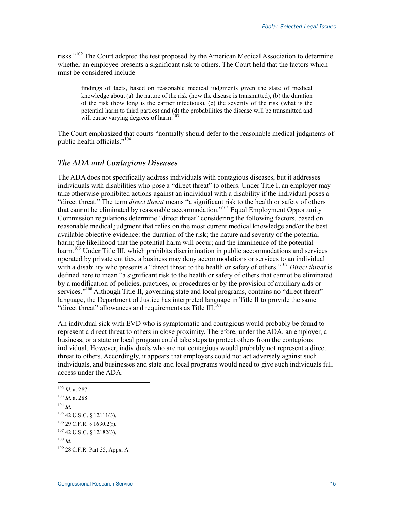risks."102 The Court adopted the test proposed by the American Medical Association to determine whether an employee presents a significant risk to others. The Court held that the factors which must be considered include

findings of facts, based on reasonable medical judgments given the state of medical knowledge about (a) the nature of the risk (how the disease is transmitted), (b) the duration of the risk (how long is the carrier infectious), (c) the severity of the risk (what is the potential harm to third parties) and (d) the probabilities the disease will be transmitted and will cause varying degrees of harm.<sup>103</sup>

The Court emphasized that courts "normally should defer to the reasonable medical judgments of public health officials."<sup>104</sup>

#### *The ADA and Contagious Diseases*

The ADA does not specifically address individuals with contagious diseases, but it addresses individuals with disabilities who pose a "direct threat" to others. Under Title I, an employer may take otherwise prohibited actions against an individual with a disability if the individual poses a "direct threat." The term *direct threat* means "a significant risk to the health or safety of others that cannot be eliminated by reasonable accommodation."105 Equal Employment Opportunity Commission regulations determine "direct threat" considering the following factors, based on reasonable medical judgment that relies on the most current medical knowledge and/or the best available objective evidence: the duration of the risk; the nature and severity of the potential harm; the likelihood that the potential harm will occur; and the imminence of the potential harm.<sup>106</sup> Under Title III, which prohibits discrimination in public accommodations and services operated by private entities, a business may deny accommodations or services to an individual with a disability who presents a "direct threat to the health or safety of others."<sup>107</sup> *Direct threat* is defined here to mean "a significant risk to the health or safety of others that cannot be eliminated by a modification of policies, practices, or procedures or by the provision of auxiliary aids or services."<sup>108</sup> Although Title II, governing state and local programs, contains no "direct threat" language, the Department of Justice has interpreted language in Title II to provide the same "direct threat" allowances and requirements as Title III. $^{109}$ 

An individual sick with EVD who is symptomatic and contagious would probably be found to represent a direct threat to others in close proximity. Therefore, under the ADA, an employer, a business, or a state or local program could take steps to protect others from the contagious individual. However, individuals who are not contagious would probably not represent a direct threat to others. Accordingly, it appears that employers could not act adversely against such individuals, and businesses and state and local programs would need to give such individuals full access under the ADA.

 $104$  *Id.* 

<sup>1</sup> <sup>102</sup> *Id.* at 287.

<sup>103</sup> *Id.* at 288.

<sup>105 42</sup> U.S.C. § 12111(3).

 $106$  29 C.F.R. § 1630.2(r).

<sup>107 42</sup> U.S.C. § 12182(3).

<sup>108</sup> *Id.*

<sup>109 28</sup> C.F.R. Part 35, Appx. A.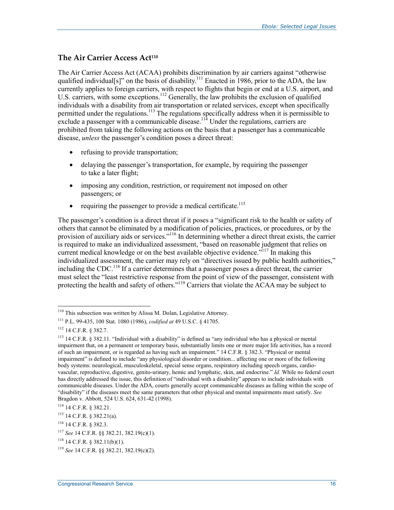#### **The Air Carrier Access Act110**

The Air Carrier Access Act (ACAA) prohibits discrimination by air carriers against "otherwise qualified individual[s]" on the basis of disability.<sup>111</sup> Enacted in 1986, prior to the ADA, the law currently applies to foreign carriers, with respect to flights that begin or end at a U.S. airport, and U.S. carriers, with some exceptions.<sup>112</sup> Generally, the law prohibits the exclusion of qualified individuals with a disability from air transportation or related services, except when specifically permitted under the regulations.<sup>113</sup> The regulations specifically address when it is permissible to exclude a passenger with a communicable disease. $11<sup>14</sup>$  Under the regulations, carriers are prohibited from taking the following actions on the basis that a passenger has a communicable disease, *unless* the passenger's condition poses a direct threat:

- refusing to provide transportation;
- delaying the passenger's transportation, for example, by requiring the passenger to take a later flight;
- imposing any condition, restriction, or requirement not imposed on other passengers; or
- requiring the passenger to provide a medical certificate.<sup>115</sup>

The passenger's condition is a direct threat if it poses a "significant risk to the health or safety of others that cannot be eliminated by a modification of policies, practices, or procedures, or by the provision of auxiliary aids or services."<sup>116</sup> In determining whether a direct threat exists, the carrier is required to make an individualized assessment, "based on reasonable judgment that relies on current medical knowledge or on the best available objective evidence.<sup> $117$ </sup> In making this individualized assessment, the carrier may rely on "directives issued by public health authorities," including the CDC.118 If a carrier determines that a passenger poses a direct threat, the carrier must select the "least restrictive response from the point of view of the passenger, consistent with protecting the health and safety of others."<sup>119</sup> Carriers that violate the ACAA may be subject to

<sup>&</sup>lt;u>.</u> 110 This subsection was written by Alissa M. Dolan, Legislative Attorney.

<sup>111</sup> P.L. 99-435, 100 Stat. 1080 (1986), *codified at* 49 U.S.C. § 41705.

<sup>112 14</sup> C.F.R. § 382.7.

<sup>113 14</sup> C.F.R. § 382.11. "Individual with a disability" is defined as "any individual who has a physical or mental impairment that, on a permanent or temporary basis, substantially limits one or more major life activities, has a record of such an impairment, or is regarded as having such an impairment." 14 C.F.R. § 382.3. "Physical or mental impairment" is defined to include "any physiological disorder or condition... affecting one or more of the following body systems: neurological, musculoskeletal, special sense organs, respiratory including speech organs, cardiovascular, reproductive, digestive, genito-urinary, hemic and lymphatic, skin, and endocrine." *Id.* While no federal court has directly addressed the issue, this definition of "individual with a disability" appears to include individuals with communicable diseases. Under the ADA, courts generally accept communicable diseases as falling within the scope of "disability" if the diseases meet the same parameters that other physical and mental impairments must satisfy. *See* Bragdon v. Abbott, 524 U.S. 624, 631-42 (1998).

<sup>114 14</sup> C.F.R. § 382.21.

<sup>115 14</sup> C.F.R. § 382.21(a).

<sup>116 14</sup> C.F.R. § 382.3.

<sup>117</sup> *See* 14 C.F.R. §§ 382.21, 382.19(c)(1).

 $118$  14 C.F.R. § 382.11(b)(1).

<sup>119</sup> *See* 14 C.F.R. §§ 382.21, 382.19(c)(2).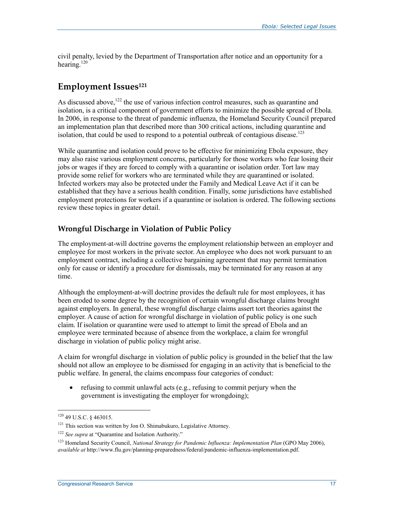civil penalty, levied by the Department of Transportation after notice and an opportunity for a hearing.<sup>120</sup>

### **Employment Issues121**

As discussed above,  $122$  the use of various infection control measures, such as quarantine and isolation, is a critical component of government efforts to minimize the possible spread of Ebola. In 2006, in response to the threat of pandemic influenza, the Homeland Security Council prepared an implementation plan that described more than 300 critical actions, including quarantine and isolation, that could be used to respond to a potential outbreak of contagious disease.<sup>123</sup>

While quarantine and isolation could prove to be effective for minimizing Ebola exposure, they may also raise various employment concerns, particularly for those workers who fear losing their jobs or wages if they are forced to comply with a quarantine or isolation order. Tort law may provide some relief for workers who are terminated while they are quarantined or isolated. Infected workers may also be protected under the Family and Medical Leave Act if it can be established that they have a serious health condition. Finally, some jurisdictions have established employment protections for workers if a quarantine or isolation is ordered. The following sections review these topics in greater detail.

#### **Wrongful Discharge in Violation of Public Policy**

The employment-at-will doctrine governs the employment relationship between an employer and employee for most workers in the private sector. An employee who does not work pursuant to an employment contract, including a collective bargaining agreement that may permit termination only for cause or identify a procedure for dismissals, may be terminated for any reason at any time.

Although the employment-at-will doctrine provides the default rule for most employees, it has been eroded to some degree by the recognition of certain wrongful discharge claims brought against employers. In general, these wrongful discharge claims assert tort theories against the employer. A cause of action for wrongful discharge in violation of public policy is one such claim. If isolation or quarantine were used to attempt to limit the spread of Ebola and an employee were terminated because of absence from the workplace, a claim for wrongful discharge in violation of public policy might arise.

A claim for wrongful discharge in violation of public policy is grounded in the belief that the law should not allow an employee to be dismissed for engaging in an activity that is beneficial to the public welfare. In general, the claims encompass four categories of conduct:

• refusing to commit unlawful acts (e.g., refusing to commit perjury when the government is investigating the employer for wrongdoing);

<sup>120 49</sup> U.S.C. § 463015.

<sup>&</sup>lt;sup>121</sup> This section was written by Jon O. Shimabukuro, Legislative Attorney.

<sup>&</sup>lt;sup>122</sup> See supra at "Quarantine and Isolation Authority."

<sup>123</sup> Homeland Security Council, *National Strategy for Pandemic Influenza: Implementation Plan* (GPO May 2006), *available at* http://www.flu.gov/planning-preparedness/federal/pandemic-influenza-implementation.pdf.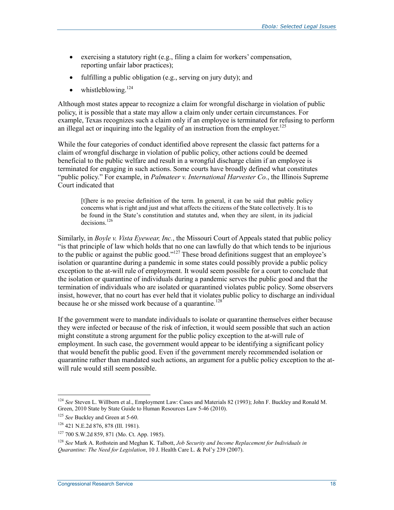- exercising a statutory right (e.g., filing a claim for workers' compensation, reporting unfair labor practices);
- fulfilling a public obligation (e.g., serving on jury duty); and
- whistleblowing. $124$

Although most states appear to recognize a claim for wrongful discharge in violation of public policy, it is possible that a state may allow a claim only under certain circumstances. For example, Texas recognizes such a claim only if an employee is terminated for refusing to perform an illegal act or inquiring into the legality of an instruction from the employer.<sup>125</sup>

While the four categories of conduct identified above represent the classic fact patterns for a claim of wrongful discharge in violation of public policy, other actions could be deemed beneficial to the public welfare and result in a wrongful discharge claim if an employee is terminated for engaging in such actions. Some courts have broadly defined what constitutes "public policy." For example, in *Palmateer v. International Harvester Co.*, the Illinois Supreme Court indicated that

[t]here is no precise definition of the term. In general, it can be said that public policy concerns what is right and just and what affects the citizens of the State collectively. It is to be found in the State's constitution and statutes and, when they are silent, in its judicial decisions.<sup>126</sup>

Similarly, in *Boyle v. Vista Eyewear, Inc.*, the Missouri Court of Appeals stated that public policy "is that principle of law which holds that no one can lawfully do that which tends to be injurious to the public or against the public good."<sup>127</sup> These broad definitions suggest that an employee's isolation or quarantine during a pandemic in some states could possibly provide a public policy exception to the at-will rule of employment. It would seem possible for a court to conclude that the isolation or quarantine of individuals during a pandemic serves the public good and that the termination of individuals who are isolated or quarantined violates public policy. Some observers insist, however, that no court has ever held that it violates public policy to discharge an individual because he or she missed work because of a quarantine.<sup>128</sup>

If the government were to mandate individuals to isolate or quarantine themselves either because they were infected or because of the risk of infection, it would seem possible that such an action might constitute a strong argument for the public policy exception to the at-will rule of employment. In such case, the government would appear to be identifying a significant policy that would benefit the public good. Even if the government merely recommended isolation or quarantine rather than mandated such actions, an argument for a public policy exception to the atwill rule would still seem possible.

<sup>124</sup> *See* Steven L. Willborn et al., Employment Law: Cases and Materials 82 (1993); John F. Buckley and Ronald M. Green, 2010 State by State Guide to Human Resources Law 5-46 (2010).

<sup>&</sup>lt;sup>125</sup> *See* Buckley and Green at 5-60.

<sup>126 421</sup> N.E.2d 876, 878 (Ill. 1981).

<sup>127 700</sup> S.W.2d 859, 871 (Mo. Ct. App. 1985).

<sup>128</sup> *See* Mark A. Rothstein and Meghan K. Talbott, *Job Security and Income Replacement for Individuals in Quarantine: The Need for Legislation*, 10 J. Health Care L. & Pol'y 239 (2007).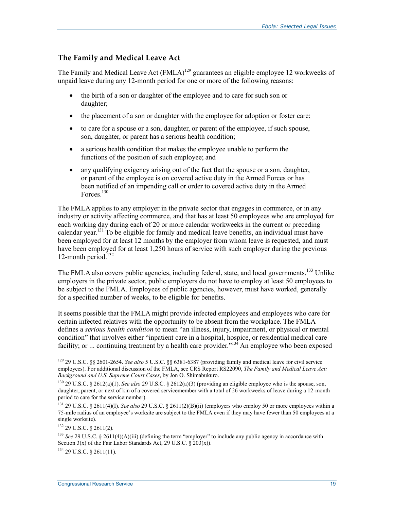#### **The Family and Medical Leave Act**

The Family and Medical Leave Act (FMLA)<sup>129</sup> guarantees an eligible employee 12 workweeks of unpaid leave during any 12-month period for one or more of the following reasons:

- the birth of a son or daughter of the employee and to care for such son or daughter;
- the placement of a son or daughter with the employee for adoption or foster care;
- to care for a spouse or a son, daughter, or parent of the employee, if such spouse, son, daughter, or parent has a serious health condition;
- a serious health condition that makes the employee unable to perform the functions of the position of such employee; and
- any qualifying exigency arising out of the fact that the spouse or a son, daughter, or parent of the employee is on covered active duty in the Armed Forces or has been notified of an impending call or order to covered active duty in the Armed Forces<sup>130</sup>

The FMLA applies to any employer in the private sector that engages in commerce, or in any industry or activity affecting commerce, and that has at least 50 employees who are employed for each working day during each of 20 or more calendar workweeks in the current or preceding calendar year.<sup>131</sup> To be eligible for family and medical leave benefits, an individual must have been employed for at least 12 months by the employer from whom leave is requested, and must have been employed for at least 1,250 hours of service with such employer during the previous 12-month period. $132$ 

The FMLA also covers public agencies, including federal, state, and local governments.<sup>133</sup> Unlike employers in the private sector, public employers do not have to employ at least 50 employees to be subject to the FMLA. Employees of public agencies, however, must have worked, generally for a specified number of weeks, to be eligible for benefits.

It seems possible that the FMLA might provide infected employees and employees who care for certain infected relatives with the opportunity to be absent from the workplace. The FMLA defines a *serious health condition* to mean "an illness, injury, impairment, or physical or mental condition" that involves either "inpatient care in a hospital, hospice, or residential medical care facility; or ... continuing treatment by a health care provider.<sup> $134$ </sup> An employee who been exposed

<u>.</u>

<sup>129 29</sup> U.S.C. §§ 2601-2654. *See also* 5 U.S.C. §§ 6381-6387 (providing family and medical leave for civil service employees). For additional discussion of the FMLA, see CRS Report RS22090, *The Family and Medical Leave Act: Background and U.S. Supreme Court Cases*, by Jon O. Shimabukuro.

<sup>&</sup>lt;sup>130</sup> 29 U.S.C. § 2612(a)(1). *See also* 29 U.S.C. § 2612(a)(3) (providing an eligible employee who is the spouse, son, daughter, parent, or next of kin of a covered servicemember with a total of 26 workweeks of leave during a 12-month period to care for the servicemember).

<sup>&</sup>lt;sup>131</sup> 29 U.S.C. § 2611(4)(I). *See also* 29 U.S.C. § 2611(2)(B)(ii) (employers who employ 50 or more employees within a 75-mile radius of an employee's worksite are subject to the FMLA even if they may have fewer than 50 employees at a single worksite).

<sup>132 29</sup> U.S.C. § 2611(2).

<sup>&</sup>lt;sup>133</sup> See 29 U.S.C. § 2611(4)(A)(iii) (defining the term "employer" to include any public agency in accordance with Section  $3(x)$  of the Fair Labor Standards Act, 29 U.S.C.  $\frac{5}{3}$   $203(x)$ .

<sup>134 29</sup> U.S.C. § 2611(11).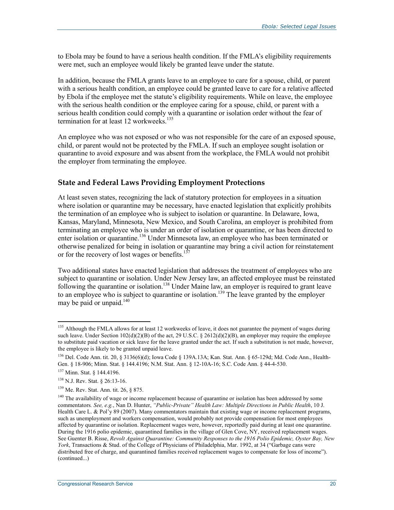to Ebola may be found to have a serious health condition. If the FMLA's eligibility requirements were met, such an employee would likely be granted leave under the statute.

In addition, because the FMLA grants leave to an employee to care for a spouse, child, or parent with a serious health condition, an employee could be granted leave to care for a relative affected by Ebola if the employee met the statute's eligibility requirements. While on leave, the employee with the serious health condition or the employee caring for a spouse, child, or parent with a serious health condition could comply with a quarantine or isolation order without the fear of termination for at least 12 workweeks<sup>135</sup>

An employee who was not exposed or who was not responsible for the care of an exposed spouse, child, or parent would not be protected by the FMLA. If such an employee sought isolation or quarantine to avoid exposure and was absent from the workplace, the FMLA would not prohibit the employer from terminating the employee.

#### **State and Federal Laws Providing Employment Protections**

At least seven states, recognizing the lack of statutory protection for employees in a situation where isolation or quarantine may be necessary, have enacted legislation that explicitly prohibits the termination of an employee who is subject to isolation or quarantine. In Delaware, Iowa, Kansas, Maryland, Minnesota, New Mexico, and South Carolina, an employer is prohibited from terminating an employee who is under an order of isolation or quarantine, or has been directed to enter isolation or quarantine.<sup>136</sup> Under Minnesota law, an employee who has been terminated or otherwise penalized for being in isolation or quarantine may bring a civil action for reinstatement or for the recovery of lost wages or benefits.<sup>137</sup>

Two additional states have enacted legislation that addresses the treatment of employees who are subject to quarantine or isolation. Under New Jersey law, an affected employee must be reinstated following the quarantine or isolation.<sup>138</sup> Under Maine law, an employer is required to grant leave to an employee who is subject to quarantine or isolation.<sup>139</sup> The leave granted by the employer may be paid or unpaid.<sup>140</sup>

<sup>&</sup>lt;sup>135</sup> Although the FMLA allows for at least 12 workweeks of leave, it does not guarantee the payment of wages during such leave. Under Section  $102(d)(2)(B)$  of the act, 29 U.S.C. § 2612(d)(2)(B), an employer may require the employee to substitute paid vacation or sick leave for the leave granted under the act. If such a substitution is not made, however, the employee is likely to be granted unpaid leave.

<sup>136</sup> Del. Code Ann. tit. 20, § 3136(6)(d); Iowa Code § 139A.13A; Kan. Stat. Ann. § 65-129d; Md. Code Ann., Health-Gen. § 18-906; Minn. Stat. § 144.4196; N.M. Stat. Ann. § 12-10A-16; S.C. Code Ann. § 44-4-530.

<sup>137</sup> Minn. Stat. § 144.4196.

<sup>138</sup> N.J. Rev. Stat. § 26:13-16.

<sup>139</sup> Me. Rev. Stat. Ann. tit. 26, § 875.

<sup>&</sup>lt;sup>140</sup> The availability of wage or income replacement because of quarantine or isolation has been addressed by some commentators*. See, e.g.*, Nan D. Hunter, *"Public-Private" Health Law: Multiple Directions in Public Health*, 10 J. Health Care L. & Pol'y 89 (2007). Many commentators maintain that existing wage or income replacement programs, such as unemployment and workers compensation, would probably not provide compensation for most employees affected by quarantine or isolation. Replacement wages were, however, reportedly paid during at least one quarantine. During the 1916 polio epidemic, quarantined families in the village of Glen Cove, NY, received replacement wages. See Guenter B. Risse, *Revolt Against Quarantine: Community Responses to the 1916 Polio Epidemic, Oyster Bay, New York*, Transactions & Stud. of the College of Physicians of Philadelphia, Mar. 1992, at 34 ("Garbage cans were distributed free of charge, and quarantined families received replacement wages to compensate for loss of income"). (continued...)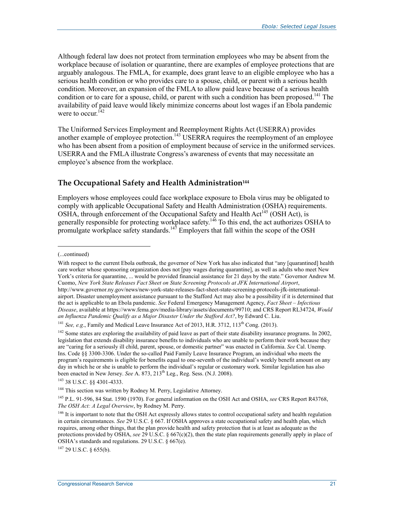Although federal law does not protect from termination employees who may be absent from the workplace because of isolation or quarantine, there are examples of employee protections that are arguably analogous. The FMLA, for example, does grant leave to an eligible employee who has a serious health condition or who provides care to a spouse, child, or parent with a serious health condition. Moreover, an expansion of the FMLA to allow paid leave because of a serious health condition or to care for a spouse, child, or parent with such a condition has been proposed.<sup>141</sup> The availability of paid leave would likely minimize concerns about lost wages if an Ebola pandemic were to occur.  $^{142}$ 

The Uniformed Services Employment and Reemployment Rights Act (USERRA) provides another example of employee protection.<sup>143</sup> USERRA requires the reemployment of an employee who has been absent from a position of employment because of service in the uniformed services. USERRA and the FMLA illustrate Congress's awareness of events that may necessitate an employee's absence from the workplace.

#### **The Occupational Safety and Health Administration144**

Employers whose employees could face workplace exposure to Ebola virus may be obligated to comply with applicable Occupational Safety and Health Administration (OSHA) requirements. OSHA, through enforcement of the Occupational Safety and Health Act<sup>145</sup> (OSH Act), is generally responsible for protecting workplace safety.<sup>146</sup> To this end, the act authorizes OSHA to promulgate workplace safety standards.<sup>147</sup> Employers that fall within the scope of the OSH

1

143 38 U.S.C. §§ 4301-4333.

 $147$  29 U.S.C. § 655(b).

<sup>(...</sup>continued)

With respect to the current Ebola outbreak, the governor of New York has also indicated that "any [quarantined] health care worker whose sponsoring organization does not [pay wages during quarantine], as well as adults who meet New York's criteria for quarantine, ... would be provided financial assistance for 21 days by the state." Governor Andrew M. Cuomo, *New York State Releases Fact Sheet on State Screening Protocols at JFK International Airport*, http://www.governor.ny.gov/news/new-york-state-releases-fact-sheet-state-screening-protocols-jfk-internationalairport. Disaster unemployment assistance pursuant to the Stafford Act may also be a possibility if it is determined that the act is applicable to an Ebola pandemic. *See* Federal Emergency Management Agency, *Fact Sheet – Infectious Disease*, available at https://www.fema.gov/media-library/assets/documents/99710; and CRS Report RL34724, *Would an Influenza Pandemic Qualify as a Major Disaster Under the Stafford Act?*, by Edward C. Liu.

<sup>&</sup>lt;sup>141</sup> *See, e.g.*, Family and Medical Leave Insurance Act of 2013, H.R. 3712, 113<sup>th</sup> Cong. (2013).

<sup>&</sup>lt;sup>142</sup> Some states are exploring the availability of paid leave as part of their state disability insurance programs. In 2002, legislation that extends disability insurance benefits to individuals who are unable to perform their work because they are "caring for a seriously ill child, parent, spouse, or domestic partner" was enacted in California. *See* Cal. Unemp. Ins. Code §§ 3300-3306. Under the so-called Paid Family Leave Insurance Program, an individual who meets the program's requirements is eligible for benefits equal to one-seventh of the individual's weekly benefit amount on any day in which he or she is unable to perform the individual's regular or customary work. Similar legislation has also been enacted in New Jersey. *See* A. 873, 213th Leg., Reg. Sess. (N.J. 2008).

<sup>&</sup>lt;sup>144</sup> This section was written by Rodney M. Perry, Legislative Attorney.

<sup>145</sup> P.L. 91-596, 84 Stat. 1590 (1970). For general information on the OSH Act and OSHA, *see* CRS Report R43768, *The OSH Act: A Legal Overview*, by Rodney M. Perry.

<sup>&</sup>lt;sup>146</sup> It is important to note that the OSH Act expressly allows states to control occupational safety and health regulation in certain circumstances. *See* 29 U.S.C. § 667. If OSHA approves a state occupational safety and health plan, which requires, among other things, that the plan provide health and safety protection that is at least as adequate as the protections provided by OSHA, *see* 29 U.S.C. § 667(c)(2), then the state plan requirements generally apply in place of OSHA's standards and regulations. 29 U.S.C.  $\frac{8}{9}$  667(e).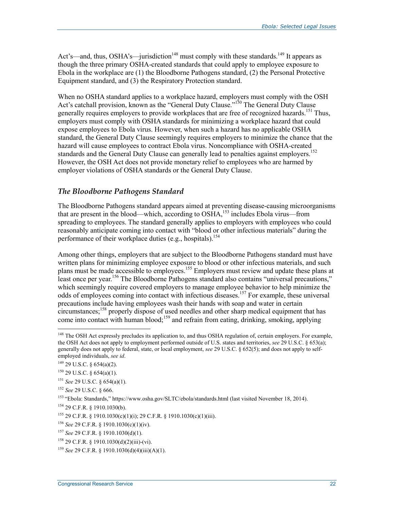Act's—and, thus, OSHA's—jurisdiction<sup>148</sup> must comply with these standards.<sup>149</sup> It appears as though the three primary OSHA-created standards that could apply to employee exposure to Ebola in the workplace are (1) the Bloodborne Pathogens standard, (2) the Personal Protective Equipment standard, and (3) the Respiratory Protection standard.

When no OSHA standard applies to a workplace hazard, employers must comply with the OSH Act's catchall provision, known as the "General Duty Clause."<sup>150</sup> The General Duty Clause generally requires employers to provide workplaces that are free of recognized hazards.<sup>151</sup> Thus, employers must comply with OSHA standards for minimizing a workplace hazard that could expose employees to Ebola virus. However, when such a hazard has no applicable OSHA standard, the General Duty Clause seemingly requires employers to minimize the chance that the hazard will cause employees to contract Ebola virus. Noncompliance with OSHA-created standards and the General Duty Clause can generally lead to penalties against employers.<sup>152</sup> However, the OSH Act does not provide monetary relief to employees who are harmed by employer violations of OSHA standards or the General Duty Clause.

#### *The Bloodborne Pathogens Standard*

The Bloodborne Pathogens standard appears aimed at preventing disease-causing microorganisms that are present in the blood—which, according to  $OSHA$ ,<sup>153</sup> includes Ebola virus—from spreading to employees. The standard generally applies to employers with employees who could reasonably anticipate coming into contact with "blood or other infectious materials" during the performance of their workplace duties (e.g., hospitals).<sup>154</sup>

Among other things, employers that are subject to the Bloodborne Pathogens standard must have written plans for minimizing employee exposure to blood or other infectious materials, and such plans must be made accessible to employees.<sup>155</sup> Employers must review and update these plans at least once per year.<sup>156</sup> The Bloodborne Pathogens standard also contains "universal precautions," which seemingly require covered employers to manage employee behavior to help minimize the odds of employees coming into contact with infectious diseases.<sup>157</sup> For example, these universal precautions include having employees wash their hands with soap and water in certain circumstances;<sup>158</sup> properly dispose of used needles and other sharp medical equipment that has come into contact with human blood;<sup>159</sup> and refrain from eating, drinking, smoking, applying

1

<sup>156</sup> *See* 29 C.F.R. § 1910.1030(c)(1)(iv).

<sup>&</sup>lt;sup>148</sup> The OSH Act expressly precludes its application to, and thus OSHA regulation of, certain employers. For example, the OSH Act does not apply to employment performed outside of U.S. states and territories, *see* 29 U.S.C. § 653(a); generally does not apply to federal, state, or local employment, *see* 29 U.S.C. § 652(5); and does not apply to selfemployed individuals, *see id*.

<sup>149 29</sup> U.S.C. § 654(a)(2).

 $150$  29 U.S.C. § 654(a)(1).

<sup>151</sup> *See* 29 U.S.C. § 654(a)(1).

<sup>152</sup> *See* 29 U.S.C. § 666.

<sup>153</sup> "Ebola: Standards," https://www.osha.gov/SLTC/ebola/standards.html (last visited November 18, 2014).

<sup>154 29</sup> C.F.R. § 1910.1030(b).

<sup>&</sup>lt;sup>155</sup> 29 C.F.R. § 1910.1030(c)(1)(i); 29 C.F.R. § 1910.1030(c)(1)(iii).

<sup>157</sup> *See* 29 C.F.R. § 1910.1030(d)(1).

 $158$  29 C.F.R. § 1910.1030(d)(2)(iii)-(vi).

<sup>159</sup> *See* 29 C.F.R. § 1910.1030(d)(4)(iii)(A)(1).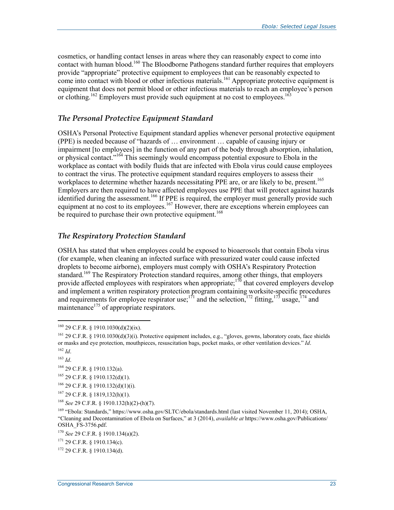cosmetics, or handling contact lenses in areas where they can reasonably expect to come into contact with human blood.<sup>160</sup> The Bloodborne Pathogens standard further requires that employers provide "appropriate" protective equipment to employees that can be reasonably expected to come into contact with blood or other infectious materials.<sup>161</sup> Appropriate protective equipment is equipment that does not permit blood or other infectious materials to reach an employee's person or clothing.<sup>162</sup> Employers must provide such equipment at no cost to employees.<sup>163</sup>

#### *The Personal Protective Equipment Standard*

OSHA's Personal Protective Equipment standard applies whenever personal protective equipment (PPE) is needed because of "hazards of … environment … capable of causing injury or impairment [to employees] in the function of any part of the body through absorption, inhalation, or physical contact."164 This seemingly would encompass potential exposure to Ebola in the workplace as contact with bodily fluids that are infected with Ebola virus could cause employees to contract the virus. The protective equipment standard requires employers to assess their workplaces to determine whether hazards necessitating PPE are, or are likely to be, present.<sup>165</sup> Employers are then required to have affected employees use PPE that will protect against hazards identified during the assessment.<sup>166</sup> If PPE is required, the employer must generally provide such equipment at no cost to its employees.<sup>167</sup> However, there are exceptions wherein employees can be required to purchase their own protective equipment.<sup>168</sup>

#### *The Respiratory Protection Standard*

OSHA has stated that when employees could be exposed to bioaerosols that contain Ebola virus (for example, when cleaning an infected surface with pressurized water could cause infected droplets to become airborne), employers must comply with OSHA's Respiratory Protection standard.<sup>169</sup> The Respiratory Protection standard requires, among other things, that employers provide affected employees with respirators when appropriate;<sup>170</sup> that covered employers develop and implement a written respiratory protection program containing worksite-specific procedures and requirements for employee respirator use;<sup>171</sup> and the selection,<sup>172</sup> fitting,<sup>173</sup> usage,<sup>174</sup> and maintenance $^{175}$  of appropriate respirators.

1

 $167$  29 C.F.R. § 1819,132(h)(1).

 $160$  29 C.F.R. § 1910.1030(d)(2)(ix).

<sup>161 29</sup> C.F.R. § 1910.1030(d)(3)(i). Protective equipment includes, e.g., "gloves, gowns, laboratory coats, face shields or masks and eye protection, mouthpieces, resuscitation bags, pocket masks, or other ventilation devices." *Id*.

<sup>162</sup> *Id*.

<sup>163</sup> *Id*.

<sup>164 29</sup> C.F.R. § 1910.132(a).

 $165$  29 C.F.R. § 1910.132(d)(1).

 $166$  29 C.F.R. § 1910.132(d)(1)(i).

<sup>168</sup> *See* 29 C.F.R. § 1910.132(h)(2)-(h)(7).

<sup>169 &</sup>quot;Ebola: Standards," https://www.osha.gov/SLTC/ebola/standards.html (last visited November 11, 2014); OSHA, "Cleaning and Decontamination of Ebola on Surfaces," at 3 (2014), *available at* https://www.osha.gov/Publications/ OSHA\_FS-3756.pdf.

<sup>170</sup> *See* 29 C.F.R. § 1910.134(a)(2).

<sup>171 29</sup> C.F.R. § 1910.134(c).

<sup>172 29</sup> C.F.R. § 1910.134(d).